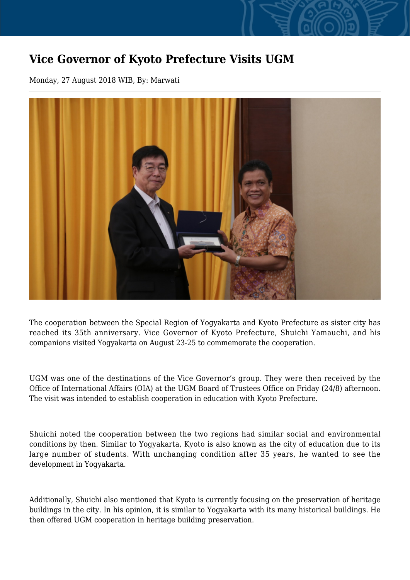## **Vice Governor of Kyoto Prefecture Visits UGM**

Monday, 27 August 2018 WIB, By: Marwati



The cooperation between the Special Region of Yogyakarta and Kyoto Prefecture as sister city has reached its 35th anniversary. Vice Governor of Kyoto Prefecture, Shuichi Yamauchi, and his companions visited Yogyakarta on August 23-25 to commemorate the cooperation.

UGM was one of the destinations of the Vice Governor's group. They were then received by the Office of International Affairs (OIA) at the UGM Board of Trustees Office on Friday (24/8) afternoon. The visit was intended to establish cooperation in education with Kyoto Prefecture.

Shuichi noted the cooperation between the two regions had similar social and environmental conditions by then. Similar to Yogyakarta, Kyoto is also known as the city of education due to its large number of students. With unchanging condition after 35 years, he wanted to see the development in Yogyakarta.

Additionally, Shuichi also mentioned that Kyoto is currently focusing on the preservation of heritage buildings in the city. In his opinion, it is similar to Yogyakarta with its many historical buildings. He then offered UGM cooperation in heritage building preservation.